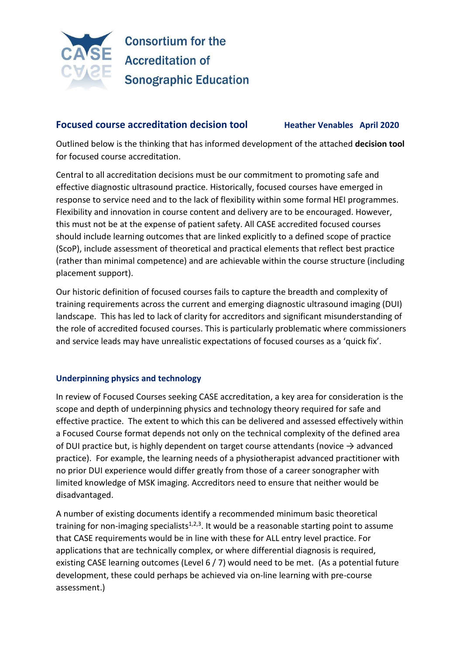

## **Focused course accreditation decision tool <b>Heather Venables** April 2020

Outlined below is the thinking that has informed development of the attached **decision tool** for focused course accreditation.

Central to all accreditation decisions must be our commitment to promoting safe and effective diagnostic ultrasound practice. Historically, focused courses have emerged in response to service need and to the lack of flexibility within some formal HEI programmes. Flexibility and innovation in course content and delivery are to be encouraged. However, this must not be at the expense of patient safety. All CASE accredited focused courses should include learning outcomes that are linked explicitly to a defined scope of practice (ScoP), include assessment of theoretical and practical elements that reflect best practice (rather than minimal competence) and are achievable within the course structure (including placement support).

Our historic definition of focused courses fails to capture the breadth and complexity of training requirements across the current and emerging diagnostic ultrasound imaging (DUI) landscape. This has led to lack of clarity for accreditors and significant misunderstanding of the role of accredited focused courses. This is particularly problematic where commissioners and service leads may have unrealistic expectations of focused courses as a 'quick fix'.

#### **Underpinning physics and technology**

In review of Focused Courses seeking CASE accreditation, a key area for consideration is the scope and depth of underpinning physics and technology theory required for safe and effective practice. The extent to which this can be delivered and assessed effectively within a Focused Course format depends not only on the technical complexity of the defined area of DUI practice but, is highly dependent on target course attendants (novice  $\rightarrow$  advanced practice). For example, the learning needs of a physiotherapist advanced practitioner with no prior DUI experience would differ greatly from those of a career sonographer with limited knowledge of MSK imaging. Accreditors need to ensure that neither would be disadvantaged.

A number of existing documents identify a recommended minimum basic theoretical training for non-imaging specialists<sup>1,2,3</sup>. It would be a reasonable starting point to assume that CASE requirements would be in line with these for ALL entry level practice. For applications that are technically complex, or where differential diagnosis is required, existing CASE learning outcomes (Level 6 / 7) would need to be met. (As a potential future development, these could perhaps be achieved via on-line learning with pre-course assessment.)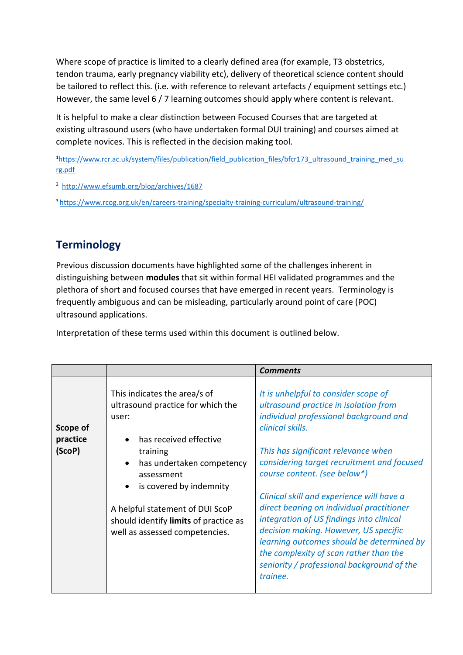Where scope of practice is limited to a clearly defined area (for example, T3 obstetrics, tendon trauma, early pregnancy viability etc), delivery of theoretical science content should be tailored to reflect this. (i.e. with reference to relevant artefacts / equipment settings etc.) However, the same level 6 / 7 learning outcomes should apply where content is relevant.

It is helpful to make a clear distinction between Focused Courses that are targeted at existing ultrasound users (who have undertaken formal DUI training) and courses aimed at complete novices. This is reflected in the decision making tool.

<sup>1</sup>[https://www.rcr.ac.uk/system/files/publication/field\\_publication\\_files/bfcr173\\_ultrasound\\_training\\_med\\_su](https://www.rcr.ac.uk/system/files/publication/field_publication_files/bfcr173_ultrasound_training_med_surg.pdf) [rg.pdf](https://www.rcr.ac.uk/system/files/publication/field_publication_files/bfcr173_ultrasound_training_med_surg.pdf) 

2 <http://www.efsumb.org/blog/archives/1687>

<sup>3</sup><https://www.rcog.org.uk/en/careers-training/specialty-training-curriculum/ultrasound-training/>

## **Terminology**

Previous discussion documents have highlighted some of the challenges inherent in distinguishing between **modules** that sit within formal HEI validated programmes and the plethora of short and focused courses that have emerged in recent years. Terminology is frequently ambiguous and can be misleading, particularly around point of care (POC) ultrasound applications.

Interpretation of these terms used within this document is outlined below.

|                    |                                                                                                                                                                                                                                     | <b>Comments</b>                                                                                                                                                                                                                                                                                                                                                                                                                                   |
|--------------------|-------------------------------------------------------------------------------------------------------------------------------------------------------------------------------------------------------------------------------------|---------------------------------------------------------------------------------------------------------------------------------------------------------------------------------------------------------------------------------------------------------------------------------------------------------------------------------------------------------------------------------------------------------------------------------------------------|
| Scope of           | This indicates the area/s of<br>ultrasound practice for which the<br>user:                                                                                                                                                          | It is unhelpful to consider scope of<br>ultrasound practice in isolation from<br>individual professional background and<br>clinical skills.                                                                                                                                                                                                                                                                                                       |
| practice<br>(ScoP) | has received effective<br>training<br>has undertaken competency<br>$\bullet$<br>assessment<br>is covered by indemnity<br>A helpful statement of DUI ScoP<br>should identify limits of practice as<br>well as assessed competencies. | This has significant relevance when<br>considering target recruitment and focused<br>course content. (see below*)<br>Clinical skill and experience will have a<br>direct bearing on individual practitioner<br>integration of US findings into clinical<br>decision making. However, US specific<br>learning outcomes should be determined by<br>the complexity of scan rather than the<br>seniority / professional background of the<br>trainee. |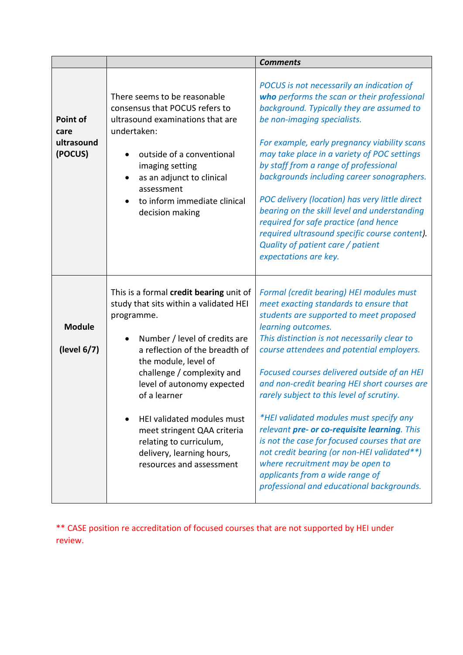|                                           |                                                                                                                                                                                                                                                                                                                                                                                                                         | <b>Comments</b>                                                                                                                                                                                                                                                                                                                                                                                                                                                                                                                                                                                                                                                                                            |
|-------------------------------------------|-------------------------------------------------------------------------------------------------------------------------------------------------------------------------------------------------------------------------------------------------------------------------------------------------------------------------------------------------------------------------------------------------------------------------|------------------------------------------------------------------------------------------------------------------------------------------------------------------------------------------------------------------------------------------------------------------------------------------------------------------------------------------------------------------------------------------------------------------------------------------------------------------------------------------------------------------------------------------------------------------------------------------------------------------------------------------------------------------------------------------------------------|
| Point of<br>care<br>ultrasound<br>(POCUS) | There seems to be reasonable<br>consensus that POCUS refers to<br>ultrasound examinations that are<br>undertaken:<br>outside of a conventional<br>imaging setting<br>as an adjunct to clinical<br>assessment<br>to inform immediate clinical<br>decision making                                                                                                                                                         | POCUS is not necessarily an indication of<br>who performs the scan or their professional<br>background. Typically they are assumed to<br>be non-imaging specialists.<br>For example, early pregnancy viability scans<br>may take place in a variety of POC settings<br>by staff from a range of professional<br>backgrounds including career sonographers.<br>POC delivery (location) has very little direct<br>bearing on the skill level and understanding<br>required for safe practice (and hence<br>required ultrasound specific course content).<br>Quality of patient care / patient<br>expectations are key.                                                                                       |
| <b>Module</b><br>(level 6/7)              | This is a formal credit bearing unit of<br>study that sits within a validated HEI<br>programme.<br>Number / level of credits are<br>a reflection of the breadth of<br>the module, level of<br>challenge / complexity and<br>level of autonomy expected<br>of a learner<br>HEI validated modules must<br>meet stringent QAA criteria<br>relating to curriculum,<br>delivery, learning hours,<br>resources and assessment | Formal (credit bearing) HEI modules must<br>meet exacting standards to ensure that<br>students are supported to meet proposed<br>learning outcomes.<br>This distinction is not necessarily clear to<br>course attendees and potential employers.<br>Focused courses delivered outside of an HEI<br>and non-credit bearing HEI short courses are<br>rarely subject to this level of scrutiny.<br>*HEI validated modules must specify any<br>relevant pre- or co-requisite learning. This<br>is not the case for focused courses that are<br>not credit bearing (or non-HEI validated**)<br>where recruitment may be open to<br>applicants from a wide range of<br>professional and educational backgrounds. |

\*\* CASE position re accreditation of focused courses that are not supported by HEI under review.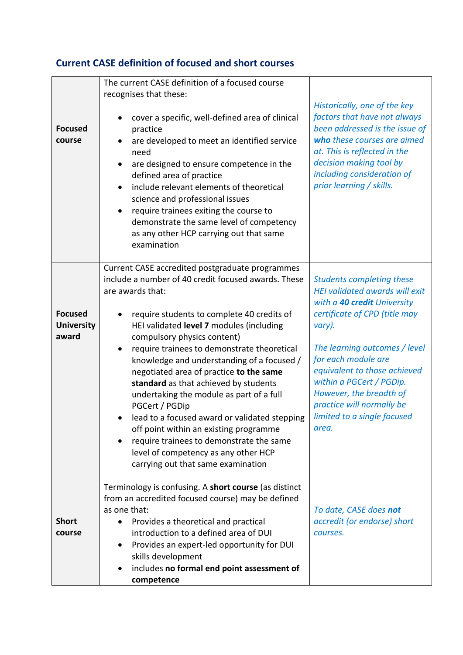## **Current CASE definition of focused and short courses**

| <b>Focused</b><br>course                     | The current CASE definition of a focused course<br>recognises that these:<br>cover a specific, well-defined area of clinical<br>$\bullet$<br>practice<br>are developed to meet an identified service<br>$\bullet$<br>need<br>are designed to ensure competence in the<br>$\bullet$<br>defined area of practice<br>include relevant elements of theoretical<br>$\bullet$<br>science and professional issues<br>require trainees exiting the course to<br>$\bullet$<br>demonstrate the same level of competency<br>as any other HCP carrying out that same<br>examination                                                                                                                                                 | Historically, one of the key<br>factors that have not always<br>been addressed is the issue of<br>who these courses are aimed<br>at. This is reflected in the<br>decision making tool by<br>including consideration of<br>prior learning / skills.                                                                                                                      |
|----------------------------------------------|-------------------------------------------------------------------------------------------------------------------------------------------------------------------------------------------------------------------------------------------------------------------------------------------------------------------------------------------------------------------------------------------------------------------------------------------------------------------------------------------------------------------------------------------------------------------------------------------------------------------------------------------------------------------------------------------------------------------------|-------------------------------------------------------------------------------------------------------------------------------------------------------------------------------------------------------------------------------------------------------------------------------------------------------------------------------------------------------------------------|
| <b>Focused</b><br><b>University</b><br>award | Current CASE accredited postgraduate programmes<br>include a number of 40 credit focused awards. These<br>are awards that:<br>require students to complete 40 credits of<br>HEI validated level 7 modules (including<br>compulsory physics content)<br>require trainees to demonstrate theoretical<br>knowledge and understanding of a focused /<br>negotiated area of practice to the same<br>standard as that achieved by students<br>undertaking the module as part of a full<br>PGCert / PGDip<br>lead to a focused award or validated stepping<br>off point within an existing programme<br>require trainees to demonstrate the same<br>level of competency as any other HCP<br>carrying out that same examination | <b>Students completing these</b><br><b>HEI validated awards will exit</b><br>with a 40 credit University<br>certificate of CPD (title may<br>vary).<br>The learning outcomes / level<br>for each module are<br>equivalent to those achieved<br>within a PGCert / PGDip.<br>However, the breadth of<br>practice will normally be<br>limited to a single focused<br>area. |
| <b>Short</b><br>course                       | Terminology is confusing. A short course (as distinct<br>from an accredited focused course) may be defined<br>as one that:<br>Provides a theoretical and practical<br>introduction to a defined area of DUI<br>Provides an expert-led opportunity for DUI<br>$\bullet$<br>skills development<br>includes no formal end point assessment of<br>competence                                                                                                                                                                                                                                                                                                                                                                | To date, CASE does not<br>accredit (or endorse) short<br>courses.                                                                                                                                                                                                                                                                                                       |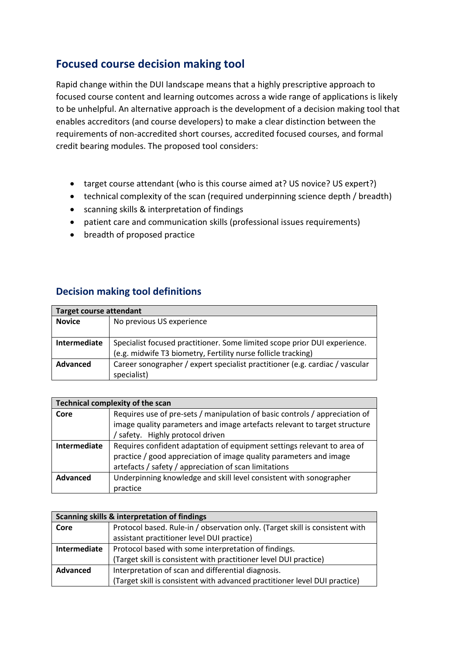## **Focused course decision making tool**

Rapid change within the DUI landscape means that a highly prescriptive approach to focused course content and learning outcomes across a wide range of applications is likely to be unhelpful. An alternative approach is the development of a decision making tool that enables accreditors (and course developers) to make a clear distinction between the requirements of non-accredited short courses, accredited focused courses, and formal credit bearing modules. The proposed tool considers:

- target course attendant (who is this course aimed at? US novice? US expert?)
- technical complexity of the scan (required underpinning science depth / breadth)
- scanning skills & interpretation of findings
- patient care and communication skills (professional issues requirements)
- breadth of proposed practice

#### **Decision making tool definitions**

|               | <b>Target course attendant</b>                                               |  |  |  |
|---------------|------------------------------------------------------------------------------|--|--|--|
| <b>Novice</b> | No previous US experience                                                    |  |  |  |
|               |                                                                              |  |  |  |
| Intermediate  | Specialist focused practitioner. Some limited scope prior DUI experience.    |  |  |  |
|               | (e.g. midwife T3 biometry, Fertility nurse follicle tracking)                |  |  |  |
| Advanced      | Career sonographer / expert specialist practitioner (e.g. cardiac / vascular |  |  |  |
|               | specialist)                                                                  |  |  |  |

|              | <b>Technical complexity of the scan</b>                                     |  |  |  |  |
|--------------|-----------------------------------------------------------------------------|--|--|--|--|
| Core         | Requires use of pre-sets / manipulation of basic controls / appreciation of |  |  |  |  |
|              | image quality parameters and image artefacts relevant to target structure   |  |  |  |  |
|              | / safety. Highly protocol driven                                            |  |  |  |  |
| Intermediate | Requires confident adaptation of equipment settings relevant to area of     |  |  |  |  |
|              | practice / good appreciation of image quality parameters and image          |  |  |  |  |
|              | artefacts / safety / appreciation of scan limitations                       |  |  |  |  |
| Advanced     | Underpinning knowledge and skill level consistent with sonographer          |  |  |  |  |
|              | practice                                                                    |  |  |  |  |

| Scanning skills & interpretation of findings |                                                                              |  |  |  |
|----------------------------------------------|------------------------------------------------------------------------------|--|--|--|
| Core                                         | Protocol based. Rule-in / observation only. (Target skill is consistent with |  |  |  |
|                                              | assistant practitioner level DUI practice)                                   |  |  |  |
| Intermediate                                 | Protocol based with some interpretation of findings.                         |  |  |  |
|                                              | (Target skill is consistent with practitioner level DUI practice)            |  |  |  |
| Advanced                                     | Interpretation of scan and differential diagnosis.                           |  |  |  |
|                                              | (Target skill is consistent with advanced practitioner level DUI practice)   |  |  |  |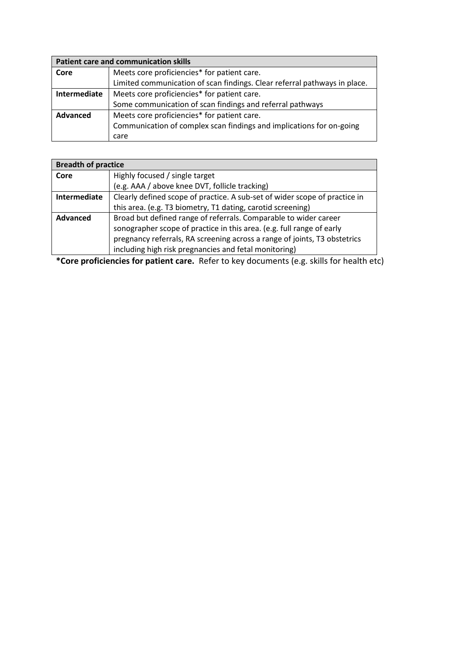|              | <b>Patient care and communication skills</b>                              |  |  |  |  |
|--------------|---------------------------------------------------------------------------|--|--|--|--|
| Core         | Meets core proficiencies* for patient care.                               |  |  |  |  |
|              | Limited communication of scan findings. Clear referral pathways in place. |  |  |  |  |
| Intermediate | Meets core proficiencies* for patient care.                               |  |  |  |  |
|              | Some communication of scan findings and referral pathways                 |  |  |  |  |
| Advanced     | Meets core proficiencies* for patient care.                               |  |  |  |  |
|              | Communication of complex scan findings and implications for on-going      |  |  |  |  |
|              | care                                                                      |  |  |  |  |

|                 | <b>Breadth of practice</b>                                                 |  |  |  |  |
|-----------------|----------------------------------------------------------------------------|--|--|--|--|
| Core            | Highly focused / single target                                             |  |  |  |  |
|                 | (e.g. AAA / above knee DVT, follicle tracking)                             |  |  |  |  |
| Intermediate    | Clearly defined scope of practice. A sub-set of wider scope of practice in |  |  |  |  |
|                 | this area. (e.g. T3 biometry, T1 dating, carotid screening)                |  |  |  |  |
| <b>Advanced</b> | Broad but defined range of referrals. Comparable to wider career           |  |  |  |  |
|                 | sonographer scope of practice in this area. (e.g. full range of early      |  |  |  |  |
|                 | pregnancy referrals, RA screening across a range of joints, T3 obstetrics  |  |  |  |  |
|                 | including high risk pregnancies and fetal monitoring)                      |  |  |  |  |

**\*Core proficiencies for patient care.** Refer to key documents (e.g. skills for health etc)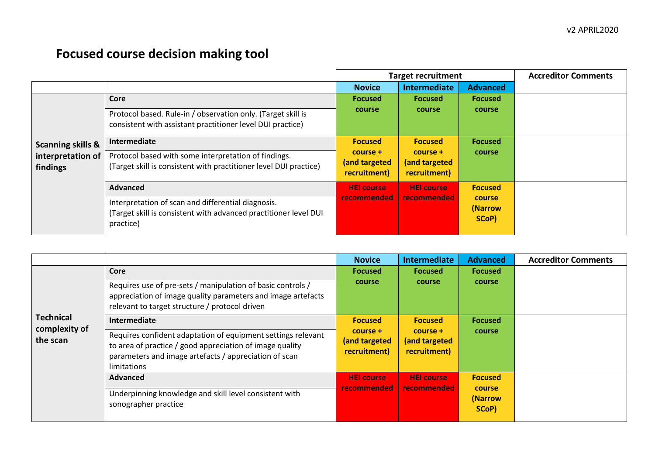# **Focused course decision making tool**

|                               |                                                                                                                                     | <b>Target recruitment</b>                 |                                           |                                   | <b>Accreditor Comments</b> |
|-------------------------------|-------------------------------------------------------------------------------------------------------------------------------------|-------------------------------------------|-------------------------------------------|-----------------------------------|----------------------------|
|                               |                                                                                                                                     | <b>Novice</b>                             | Intermediate                              | <b>Advanced</b>                   |                            |
|                               | Core                                                                                                                                | <b>Focused</b>                            | <b>Focused</b>                            | <b>Focused</b>                    |                            |
|                               | Protocol based. Rule-in / observation only. (Target skill is<br>consistent with assistant practitioner level DUI practice)          | course                                    | course                                    | course                            |                            |
| <b>Scanning skills &amp;</b>  | Intermediate                                                                                                                        | <b>Focused</b>                            | <b>Focused</b>                            | <b>Focused</b>                    |                            |
| interpretation of<br>findings | Protocol based with some interpretation of findings.<br>(Target skill is consistent with practitioner level DUI practice)           | course +<br>(and targeted<br>recruitment) | course +<br>(and targeted<br>recruitment) | course                            |                            |
|                               | <b>Advanced</b>                                                                                                                     | <b>HEI</b> course                         | <b>HEI course</b>                         | <b>Focused</b>                    |                            |
|                               | Interpretation of scan and differential diagnosis.<br>(Target skill is consistent with advanced practitioner level DUI<br>practice) | recommended                               | recommended                               | <b>course</b><br>(Narrow<br>SCoP) |                            |

|                           |                                                                                                                                                                                                  | <b>Novice</b>                             | Intermediate                                | <b>Advanced</b>                   | <b>Accreditor Comments</b> |
|---------------------------|--------------------------------------------------------------------------------------------------------------------------------------------------------------------------------------------------|-------------------------------------------|---------------------------------------------|-----------------------------------|----------------------------|
|                           | Core                                                                                                                                                                                             | <b>Focused</b><br>course                  | <b>Focused</b><br>course                    | <b>Focused</b><br>course          |                            |
|                           | Requires use of pre-sets / manipulation of basic controls /<br>appreciation of image quality parameters and image artefacts<br>relevant to target structure / protocol driven                    |                                           |                                             |                                   |                            |
| <b>Technical</b>          | Intermediate                                                                                                                                                                                     | <b>Focused</b>                            | <b>Focused</b>                              | <b>Focused</b>                    |                            |
| complexity of<br>the scan | Requires confident adaptation of equipment settings relevant<br>to area of practice / good appreciation of image quality<br>parameters and image artefacts / appreciation of scan<br>limitations | course +<br>(and targeted<br>recruitment) | $course +$<br>(and targeted<br>recruitment) | course                            |                            |
|                           | <b>Advanced</b>                                                                                                                                                                                  | <b>HEI</b> course                         | <b>HEI</b> course                           | <b>Focused</b>                    |                            |
|                           | Underpinning knowledge and skill level consistent with<br>sonographer practice                                                                                                                   | recommended                               | recommended                                 | <b>course</b><br>(Narrow<br>SCoP) |                            |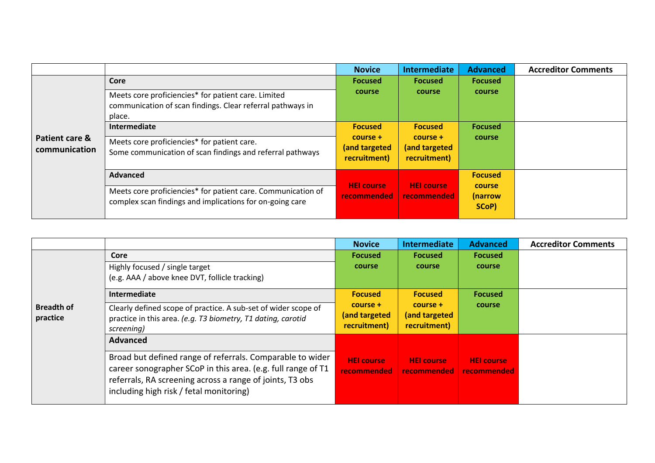|                                 |                                                                                                                             | <b>Novice</b>                             | Intermediate                              | <b>Advanced</b>            | <b>Accreditor Comments</b> |
|---------------------------------|-----------------------------------------------------------------------------------------------------------------------------|-------------------------------------------|-------------------------------------------|----------------------------|----------------------------|
|                                 | Core                                                                                                                        | <b>Focused</b>                            | <b>Focused</b>                            | <b>Focused</b>             |                            |
|                                 | Meets core proficiencies* for patient care. Limited<br>communication of scan findings. Clear referral pathways in<br>place. | course                                    | course                                    | course                     |                            |
|                                 | Intermediate                                                                                                                | <b>Focused</b>                            | <b>Focused</b>                            | <b>Focused</b>             |                            |
| Patient care &<br>communication | Meets core proficiencies* for patient care.<br>Some communication of scan findings and referral pathways                    | course +<br>(and targeted<br>recruitment) | course +<br>(and targeted<br>recruitment) | course                     |                            |
|                                 | <b>Advanced</b>                                                                                                             |                                           |                                           | <b>Focused</b>             |                            |
|                                 | Meets core proficiencies* for patient care. Communication of<br>complex scan findings and implications for on-going care    | <b>HEI</b> course<br>recommended          | <b>HEI</b> course<br>recommended          | course<br>(narrow<br>SCoP) |                            |

|                   |                                                                | <b>Novice</b>     | Intermediate      | <b>Advanced</b>   | <b>Accreditor Comments</b> |
|-------------------|----------------------------------------------------------------|-------------------|-------------------|-------------------|----------------------------|
|                   | Core                                                           | <b>Focused</b>    | <b>Focused</b>    | <b>Focused</b>    |                            |
|                   | Highly focused / single target                                 | course            | <b>course</b>     | course            |                            |
|                   | (e.g. AAA / above knee DVT, follicle tracking)                 |                   |                   |                   |                            |
|                   | <b>Intermediate</b>                                            | <b>Focused</b>    | <b>Focused</b>    | <b>Focused</b>    |                            |
| <b>Breadth of</b> | Clearly defined scope of practice. A sub-set of wider scope of | course +          | $course +$        | course            |                            |
| practice          | practice in this area. (e.g. T3 biometry, T1 dating, carotid   | (and targeted     | (and targeted     |                   |                            |
|                   | screening)                                                     | recruitment)      | recruitment)      |                   |                            |
|                   | <b>Advanced</b>                                                |                   |                   |                   |                            |
|                   | Broad but defined range of referrals. Comparable to wider      | <b>HEI</b> course | <b>HEI</b> course | <b>HEI</b> course |                            |
|                   | career sonographer SCoP in this area. (e.g. full range of T1   | recommended       | recommended       | recommended       |                            |
|                   | referrals, RA screening across a range of joints, T3 obs       |                   |                   |                   |                            |
|                   | including high risk / fetal monitoring)                        |                   |                   |                   |                            |
|                   |                                                                |                   |                   |                   |                            |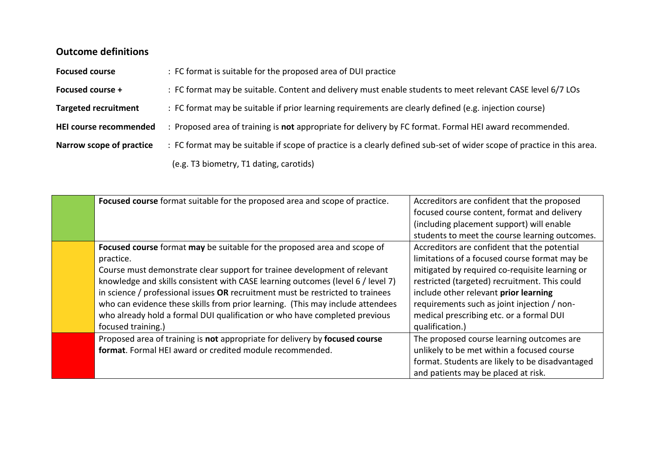## **Outcome definitions**

| <b>Focused course</b>       | : FC format is suitable for the proposed area of DUI practice                                                          |  |
|-----------------------------|------------------------------------------------------------------------------------------------------------------------|--|
| Focused course +            | : FC format may be suitable. Content and delivery must enable students to meet relevant CASE level 6/7 LOs             |  |
| <b>Targeted recruitment</b> | : FC format may be suitable if prior learning requirements are clearly defined (e.g. injection course)                 |  |
| HEI course recommended      | : Proposed area of training is not appropriate for delivery by FC format. Formal HEI award recommended.                |  |
| Narrow scope of practice    | : FC format may be suitable if scope of practice is a clearly defined sub-set of wider scope of practice in this area. |  |
|                             | (e.g. T3 biometry, T1 dating, carotids)                                                                                |  |

| Focused course format suitable for the proposed area and scope of practice.     | Accreditors are confident that the proposed     |
|---------------------------------------------------------------------------------|-------------------------------------------------|
|                                                                                 | focused course content, format and delivery     |
|                                                                                 | (including placement support) will enable       |
|                                                                                 | students to meet the course learning outcomes.  |
| Focused course format may be suitable for the proposed area and scope of        | Accreditors are confident that the potential    |
| practice.                                                                       | limitations of a focused course format may be   |
| Course must demonstrate clear support for trainee development of relevant       | mitigated by required co-requisite learning or  |
| knowledge and skills consistent with CASE learning outcomes (level 6 / level 7) | restricted (targeted) recruitment. This could   |
| in science / professional issues OR recruitment must be restricted to trainees  | include other relevant prior learning           |
| who can evidence these skills from prior learning. (This may include attendees  | requirements such as joint injection / non-     |
| who already hold a formal DUI qualification or who have completed previous      | medical prescribing etc. or a formal DUI        |
| focused training.)                                                              | qualification.)                                 |
| Proposed area of training is not appropriate for delivery by focused course     | The proposed course learning outcomes are       |
| format. Formal HEI award or credited module recommended.                        | unlikely to be met within a focused course      |
|                                                                                 | format. Students are likely to be disadvantaged |
|                                                                                 | and patients may be placed at risk.             |